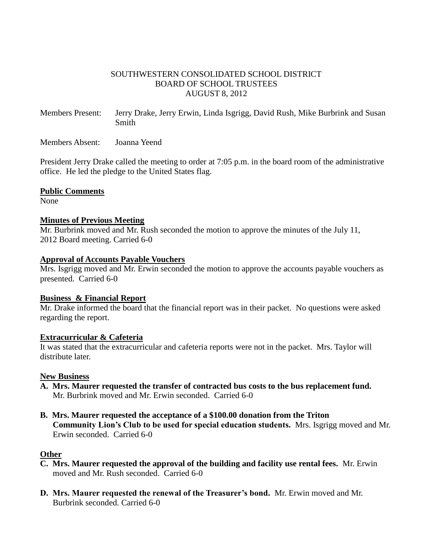# SOUTHWESTERN CONSOLIDATED SCHOOL DISTRICT BOARD OF SCHOOL TRUSTEES AUGUST 8, 2012

Members Present: Jerry Drake, Jerry Erwin, Linda Isgrigg, David Rush, Mike Burbrink and Susan Smith

Members Absent: Joanna Yeend

President Jerry Drake called the meeting to order at 7:05 p.m. in the board room of the administrative office. He led the pledge to the United States flag.

# **Public Comments**

None

# **Minutes of Previous Meeting**

Mr. Burbrink moved and Mr. Rush seconded the motion to approve the minutes of the July 11, 2012 Board meeting. Carried 6-0

### **Approval of Accounts Payable Vouchers**

Mrs. Isgrigg moved and Mr. Erwin seconded the motion to approve the accounts payable vouchers as presented. Carried 6-0

# **Business & Financial Report**

Mr. Drake informed the board that the financial report was in their packet. No questions were asked regarding the report.

# **Extracurricular & Cafeteria**

It was stated that the extracurricular and cafeteria reports were not in the packet. Mrs. Taylor will distribute later.

# **New Business**

- **A. Mrs. Maurer requested the transfer of contracted bus costs to the bus replacement fund.** Mr. Burbrink moved and Mr. Erwin seconded. Carried 6-0
- **B. Mrs. Maurer requested the acceptance of a \$100.00 donation from the Triton Community Lion's Club to be used for special education students.** Mrs. Isgrigg moved and Mr. Erwin seconded. Carried 6-0

# **Other**

- **C. Mrs. Maurer requested the approval of the building and facility use rental fees.** Mr. Erwin moved and Mr. Rush seconded. Carried 6-0
- **D. Mrs. Maurer requested the renewal of the Treasurer's bond.** Mr. Erwin moved and Mr. Burbrink seconded. Carried 6-0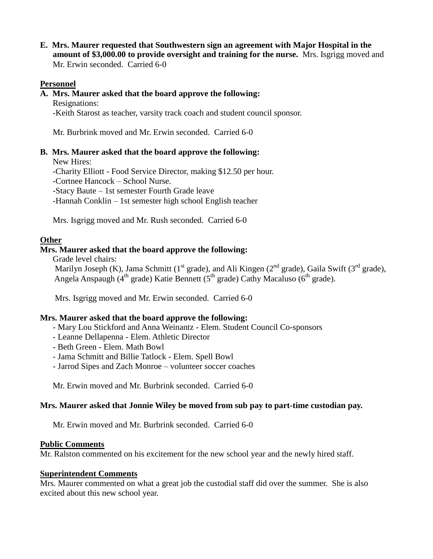**E. Mrs. Maurer requested that Southwestern sign an agreement with Major Hospital in the amount of \$3,000.00 to provide oversight and training for the nurse.** Mrs. Isgrigg moved and Mr. Erwin seconded. Carried 6-0

# **Personnel**

## **A. Mrs. Maurer asked that the board approve the following:**

Resignations: -Keith Starost as teacher, varsity track coach and student council sponsor.

Mr. Burbrink moved and Mr. Erwin seconded. Carried 6-0

### **B. Mrs. Maurer asked that the board approve the following:**

New Hires:

-Charity Elliott - Food Service Director, making \$12.50 per hour.

-Cortnee Hancock – School Nurse.

-Stacy Baute – 1st semester Fourth Grade leave

-Hannah Conklin – 1st semester high school English teacher

Mrs. Isgrigg moved and Mr. Rush seconded. Carried 6-0

### **Other**

### **Mrs. Maurer asked that the board approve the following:**

Grade level chairs:

Marilyn Joseph (K), Jama Schmitt (1<sup>st</sup> grade), and Ali Kingen (2<sup>nd</sup> grade), Gaila Swift (3<sup>rd</sup> grade), Angela Anspaugh ( $4<sup>th</sup>$  grade) Katie Bennett ( $5<sup>th</sup>$  grade) Cathy Macaluso ( $6<sup>th</sup>$  grade).

Mrs. Isgrigg moved and Mr. Erwin seconded. Carried 6-0

# **Mrs. Maurer asked that the board approve the following:**

- Mary Lou Stickford and Anna Weinantz Elem. Student Council Co-sponsors
- Leanne Dellapenna Elem. Athletic Director
- Beth Green Elem. Math Bowl
- Jama Schmitt and Billie Tatlock Elem. Spell Bowl
- Jarrod Sipes and Zach Monroe volunteer soccer coaches

Mr. Erwin moved and Mr. Burbrink seconded. Carried 6-0

# **Mrs. Maurer asked that Jonnie Wiley be moved from sub pay to part-time custodian pay.**

Mr. Erwin moved and Mr. Burbrink seconded. Carried 6-0

#### **Public Comments**

Mr. Ralston commented on his excitement for the new school year and the newly hired staff.

# **Superintendent Comments**

Mrs. Maurer commented on what a great job the custodial staff did over the summer. She is also excited about this new school year.